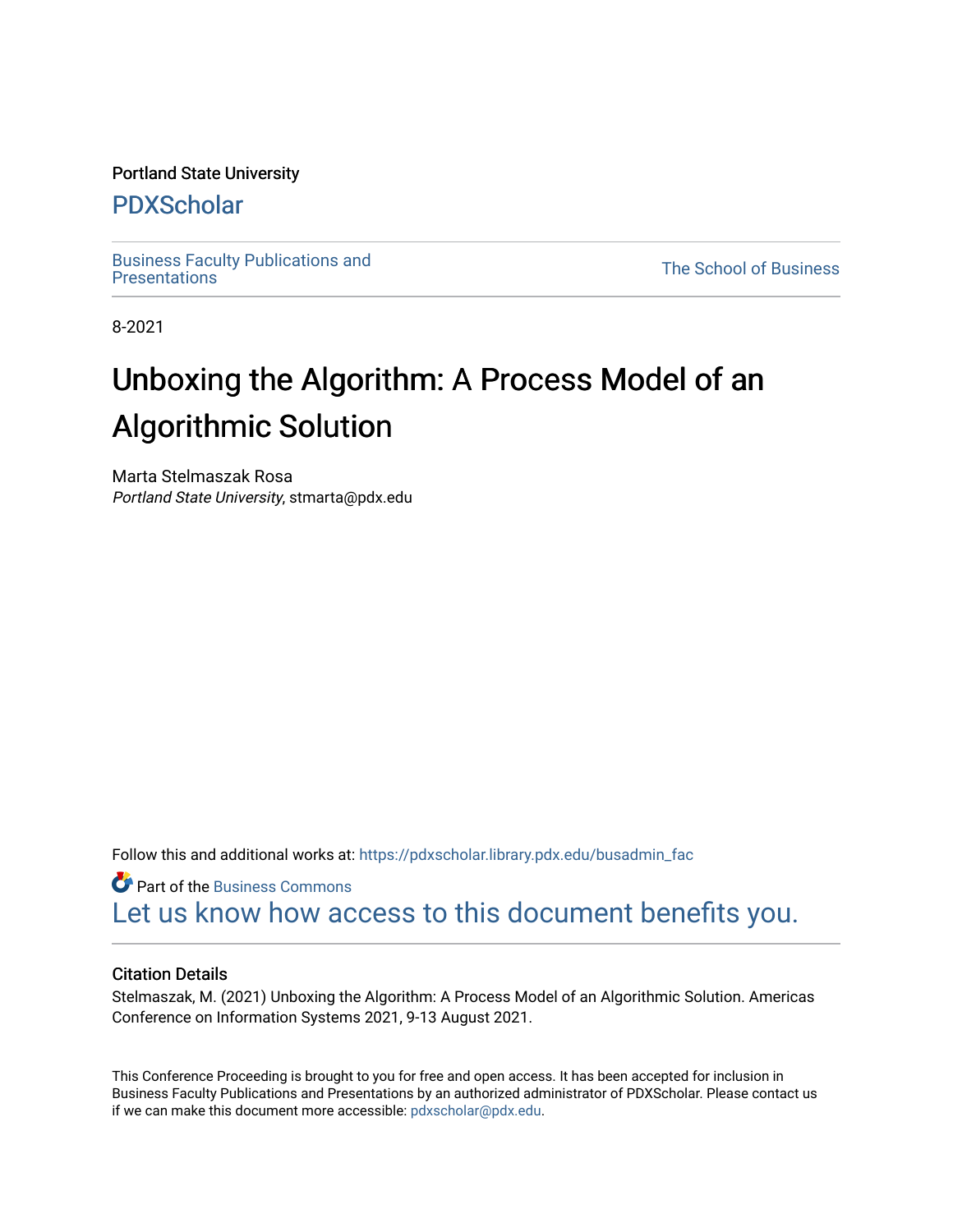### Portland State University

## [PDXScholar](https://pdxscholar.library.pdx.edu/)

[Business Faculty Publications and](https://pdxscholar.library.pdx.edu/busadmin_fac) 

**The School of Business** 

8-2021

# Unboxing the Algorithm: A Process Model of an Algorithmic Solution

Marta Stelmaszak Rosa Portland State University, stmarta@pdx.edu

Follow this and additional works at: [https://pdxscholar.library.pdx.edu/busadmin\\_fac](https://pdxscholar.library.pdx.edu/busadmin_fac?utm_source=pdxscholar.library.pdx.edu%2Fbusadmin_fac%2F254&utm_medium=PDF&utm_campaign=PDFCoverPages) 

**C** Part of the [Business Commons](http://network.bepress.com/hgg/discipline/622?utm_source=pdxscholar.library.pdx.edu%2Fbusadmin_fac%2F254&utm_medium=PDF&utm_campaign=PDFCoverPages) [Let us know how access to this document benefits you.](http://library.pdx.edu/services/pdxscholar-services/pdxscholar-feedback/?ref=https://pdxscholar.library.pdx.edu/busadmin_fac/254) 

#### Citation Details

Stelmaszak, M. (2021) Unboxing the Algorithm: A Process Model of an Algorithmic Solution. Americas Conference on Information Systems 2021, 9-13 August 2021.

This Conference Proceeding is brought to you for free and open access. It has been accepted for inclusion in Business Faculty Publications and Presentations by an authorized administrator of PDXScholar. Please contact us if we can make this document more accessible: [pdxscholar@pdx.edu.](mailto:pdxscholar@pdx.edu)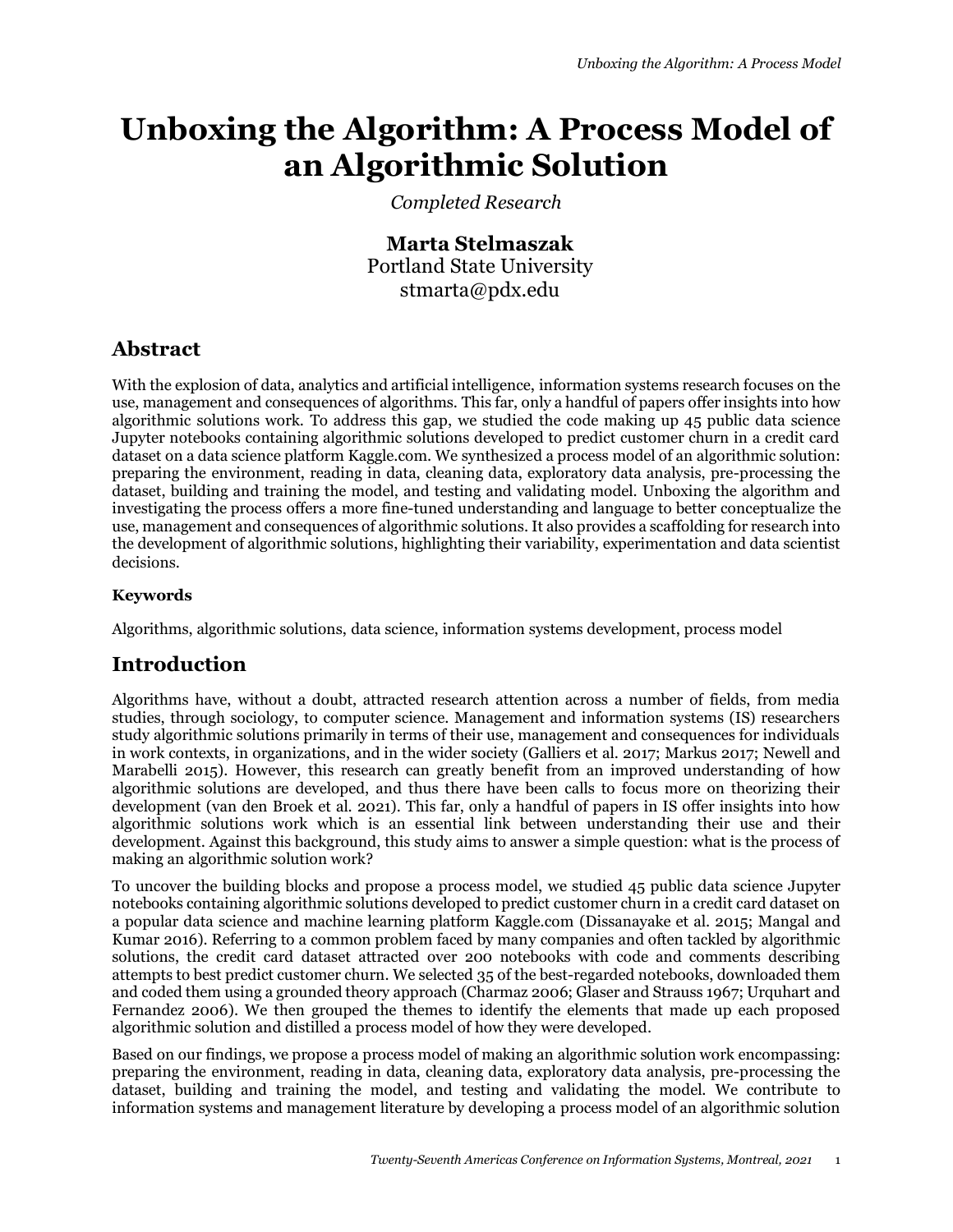## **Unboxing the Algorithm: A Process Model of an Algorithmic Solution**

*Completed Research*

**Marta Stelmaszak** Portland State University stmarta@pdx.edu

## **Abstract**

With the explosion of data, analytics and artificial intelligence, information systems research focuses on the use, management and consequences of algorithms. This far, only a handful of papers offer insights into how algorithmic solutions work. To address this gap, we studied the code making up 45 public data science Jupyter notebooks containing algorithmic solutions developed to predict customer churn in a credit card dataset on a data science platform Kaggle.com. We synthesized a process model of an algorithmic solution: preparing the environment, reading in data, cleaning data, exploratory data analysis, pre-processing the dataset, building and training the model, and testing and validating model. Unboxing the algorithm and investigating the process offers a more fine-tuned understanding and language to better conceptualize the use, management and consequences of algorithmic solutions. It also provides a scaffolding for research into the development of algorithmic solutions, highlighting their variability, experimentation and data scientist decisions.

#### **Keywords**

Algorithms, algorithmic solutions, data science, information systems development, process model

## **Introduction**

Algorithms have, without a doubt, attracted research attention across a number of fields, from media studies, through sociology, to computer science. Management and information systems (IS) researchers study algorithmic solutions primarily in terms of their use, management and consequences for individuals in work contexts, in organizations, and in the wider society (Galliers et al. 2017; Markus 2017; Newell and Marabelli 2015). However, this research can greatly benefit from an improved understanding of how algorithmic solutions are developed, and thus there have been calls to focus more on theorizing their development (van den Broek et al. 2021). This far, only a handful of papers in IS offer insights into how algorithmic solutions work which is an essential link between understanding their use and their development. Against this background, this study aims to answer a simple question: what is the process of making an algorithmic solution work?

To uncover the building blocks and propose a process model, we studied 45 public data science Jupyter notebooks containing algorithmic solutions developed to predict customer churn in a credit card dataset on a popular data science and machine learning platform Kaggle.com (Dissanayake et al. 2015; Mangal and Kumar 2016). Referring to a common problem faced by many companies and often tackled by algorithmic solutions, the credit card dataset attracted over 200 notebooks with code and comments describing attempts to best predict customer churn. We selected 35 of the best-regarded notebooks, downloaded them and coded them using a grounded theory approach (Charmaz 2006; Glaser and Strauss 1967; Urquhart and Fernandez 2006). We then grouped the themes to identify the elements that made up each proposed algorithmic solution and distilled a process model of how they were developed.

Based on our findings, we propose a process model of making an algorithmic solution work encompassing: preparing the environment, reading in data, cleaning data, exploratory data analysis, pre-processing the dataset, building and training the model, and testing and validating the model. We contribute to information systems and management literature by developing a process model of an algorithmic solution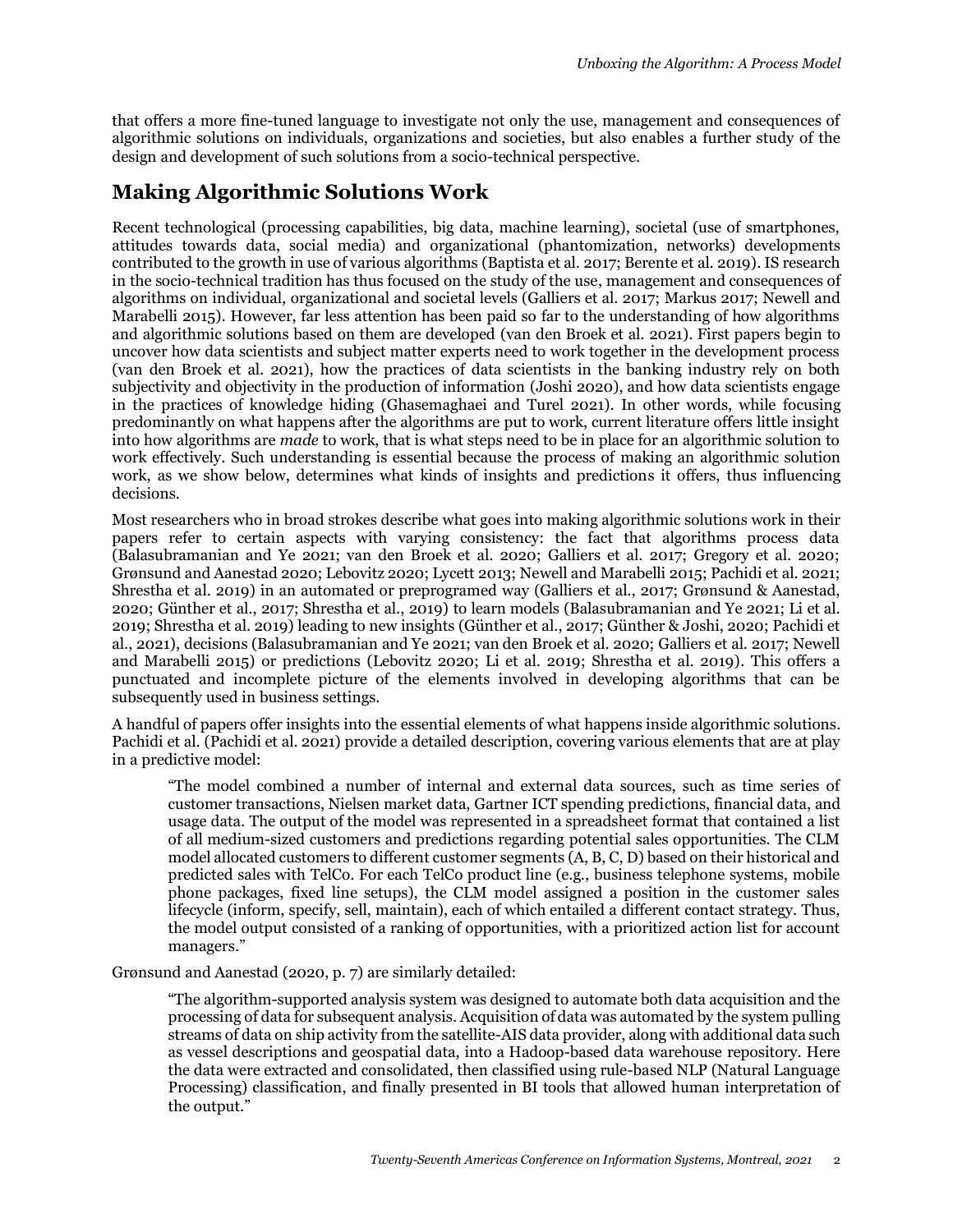that offers a more fine-tuned language to investigate not only the use, management and consequences of algorithmic solutions on individuals, organizations and societies, but also enables a further study of the design and development of such solutions from a socio-technical perspective.

## **Making Algorithmic Solutions Work**

Recent technological (processing capabilities, big data, machine learning), societal (use of smartphones, attitudes towards data, social media) and organizational (phantomization, networks) developments contributed to the growth in use of various algorithms (Baptista et al. 2017; Berente et al. 2019). IS research in the socio-technical tradition has thus focused on the study of the use, management and consequences of algorithms on individual, organizational and societal levels (Galliers et al. 2017; Markus 2017; Newell and Marabelli 2015). However, far less attention has been paid so far to the understanding of how algorithms and algorithmic solutions based on them are developed (van den Broek et al. 2021). First papers begin to uncover how data scientists and subject matter experts need to work together in the development process (van den Broek et al. 2021), how the practices of data scientists in the banking industry rely on both subjectivity and objectivity in the production of information (Joshi 2020), and how data scientists engage in the practices of knowledge hiding (Ghasemaghaei and Turel 2021). In other words, while focusing predominantly on what happens after the algorithms are put to work, current literature offers little insight into how algorithms are *made* to work, that is what steps need to be in place for an algorithmic solution to work effectively. Such understanding is essential because the process of making an algorithmic solution work, as we show below, determines what kinds of insights and predictions it offers, thus influencing decisions.

Most researchers who in broad strokes describe what goes into making algorithmic solutions work in their papers refer to certain aspects with varying consistency: the fact that algorithms process data (Balasubramanian and Ye 2021; van den Broek et al. 2020; Galliers et al. 2017; Gregory et al. 2020; Grønsund and Aanestad 2020; Lebovitz 2020; Lycett 2013; Newell and Marabelli 2015; Pachidi et al. 2021; Shrestha et al. 2019) in an automated or preprogramed way (Galliers et al., 2017; Grønsund & Aanestad, 2020; Günther et al., 2017; Shrestha et al., 2019) to learn models (Balasubramanian and Ye 2021; Li et al. 2019; Shrestha et al. 2019) leading to new insights (Günther et al., 2017; Günther & Joshi, 2020; Pachidi et al., 2021), decisions (Balasubramanian and Ye 2021; van den Broek et al. 2020; Galliers et al. 2017; Newell and Marabelli 2015) or predictions (Lebovitz 2020; Li et al. 2019; Shrestha et al. 2019). This offers a punctuated and incomplete picture of the elements involved in developing algorithms that can be subsequently used in business settings.

A handful of papers offer insights into the essential elements of what happens inside algorithmic solutions. Pachidi et al. (Pachidi et al. 2021) provide a detailed description, covering various elements that are at play in a predictive model:

"The model combined a number of internal and external data sources, such as time series of customer transactions, Nielsen market data, Gartner ICT spending predictions, financial data, and usage data. The output of the model was represented in a spreadsheet format that contained a list of all medium-sized customers and predictions regarding potential sales opportunities. The CLM model allocated customers to different customer segments (A, B, C, D) based on their historical and predicted sales with TelCo. For each TelCo product line (e.g., business telephone systems, mobile phone packages, fixed line setups), the CLM model assigned a position in the customer sales lifecycle (inform, specify, sell, maintain), each of which entailed a different contact strategy. Thus, the model output consisted of a ranking of opportunities, with a prioritized action list for account managers."

Grønsund and Aanestad (2020, p. 7) are similarly detailed:

"The algorithm-supported analysis system was designed to automate both data acquisition and the processing of data for subsequent analysis. Acquisition of data was automated by the system pulling streams of data on ship activity from the satellite-AIS data provider, along with additional data such as vessel descriptions and geospatial data, into a Hadoop-based data warehouse repository. Here the data were extracted and consolidated, then classified using rule-based NLP (Natural Language Processing) classification, and finally presented in BI tools that allowed human interpretation of the output."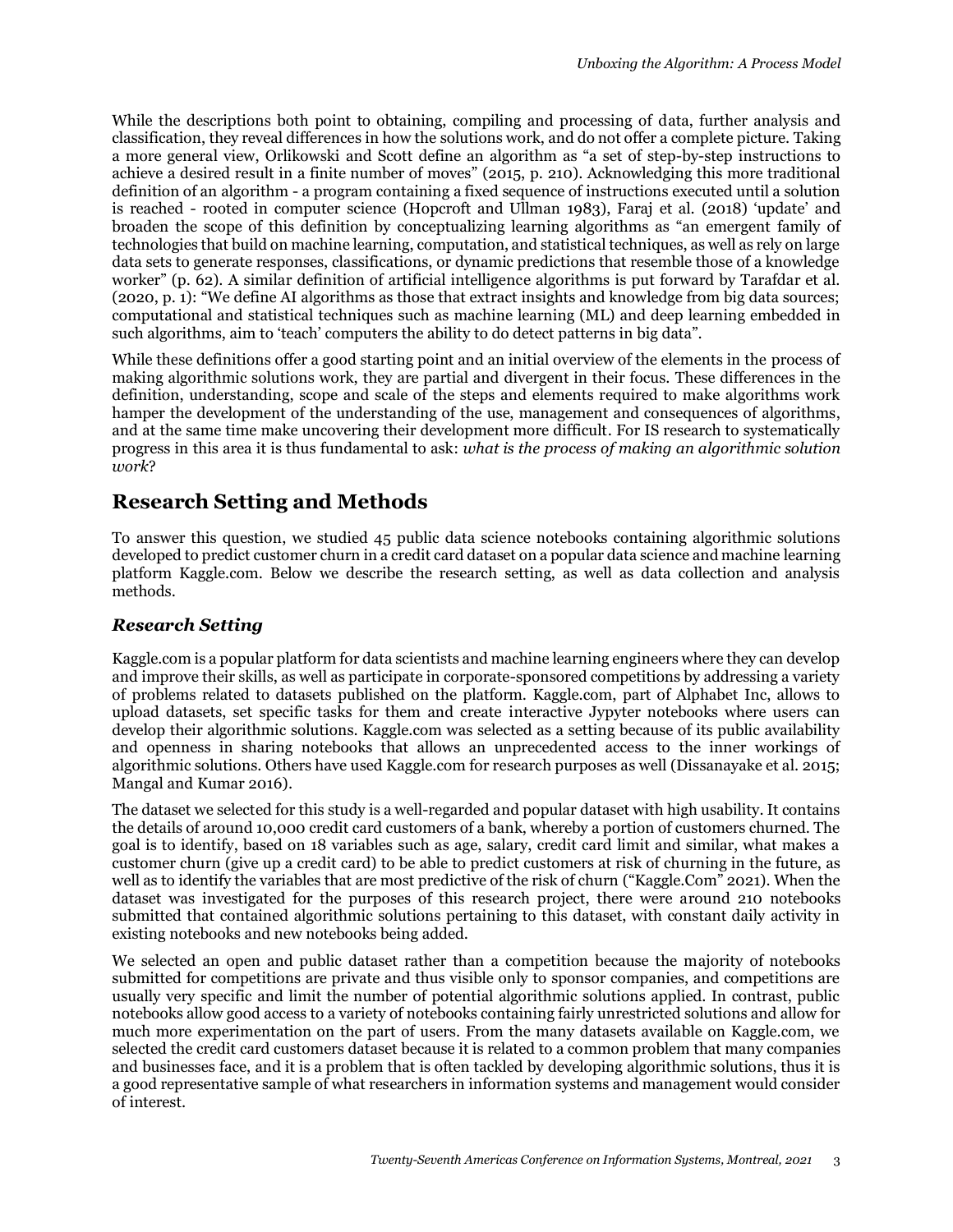While the descriptions both point to obtaining, compiling and processing of data, further analysis and classification, they reveal differences in how the solutions work, and do not offer a complete picture. Taking a more general view, Orlikowski and Scott define an algorithm as "a set of step-by-step instructions to achieve a desired result in a finite number of moves" (2015, p. 210). Acknowledging this more traditional definition of an algorithm - a program containing a fixed sequence of instructions executed until a solution is reached - rooted in computer science (Hopcroft and Ullman 1983), Faraj et al. (2018) 'update' and broaden the scope of this definition by conceptualizing learning algorithms as "an emergent family of technologies that build on machine learning, computation, and statistical techniques, as well as rely on large data sets to generate responses, classifications, or dynamic predictions that resemble those of a knowledge worker" (p. 62). A similar definition of artificial intelligence algorithms is put forward by Tarafdar et al. (2020, p. 1): "We define AI algorithms as those that extract insights and knowledge from big data sources; computational and statistical techniques such as machine learning (ML) and deep learning embedded in such algorithms, aim to 'teach' computers the ability to do detect patterns in big data".

While these definitions offer a good starting point and an initial overview of the elements in the process of making algorithmic solutions work, they are partial and divergent in their focus. These differences in the definition, understanding, scope and scale of the steps and elements required to make algorithms work hamper the development of the understanding of the use, management and consequences of algorithms, and at the same time make uncovering their development more difficult. For IS research to systematically progress in this area it is thus fundamental to ask: *what is the process of making an algorithmic solution work*?

## **Research Setting and Methods**

To answer this question, we studied 45 public data science notebooks containing algorithmic solutions developed to predict customer churn in a credit card dataset on a popular data science and machine learning platform Kaggle.com. Below we describe the research setting, as well as data collection and analysis methods.

## *Research Setting*

Kaggle.com is a popular platform for data scientists and machine learning engineers where they can develop and improve their skills, as well as participate in corporate-sponsored competitions by addressing a variety of problems related to datasets published on the platform. Kaggle.com, part of Alphabet Inc, allows to upload datasets, set specific tasks for them and create interactive Jypyter notebooks where users can develop their algorithmic solutions. Kaggle.com was selected as a setting because of its public availability and openness in sharing notebooks that allows an unprecedented access to the inner workings of algorithmic solutions. Others have used Kaggle.com for research purposes as well (Dissanayake et al. 2015; Mangal and Kumar 2016).

The dataset we selected for this study is a well-regarded and popular dataset with high usability. It contains the details of around 10,000 credit card customers of a bank, whereby a portion of customers churned. The goal is to identify, based on 18 variables such as age, salary, credit card limit and similar, what makes a customer churn (give up a credit card) to be able to predict customers at risk of churning in the future, as well as to identify the variables that are most predictive of the risk of churn ("Kaggle.Com" 2021). When the dataset was investigated for the purposes of this research project, there were around 210 notebooks submitted that contained algorithmic solutions pertaining to this dataset, with constant daily activity in existing notebooks and new notebooks being added.

We selected an open and public dataset rather than a competition because the majority of notebooks submitted for competitions are private and thus visible only to sponsor companies, and competitions are usually very specific and limit the number of potential algorithmic solutions applied. In contrast, public notebooks allow good access to a variety of notebooks containing fairly unrestricted solutions and allow for much more experimentation on the part of users. From the many datasets available on Kaggle.com, we selected the credit card customers dataset because it is related to a common problem that many companies and businesses face, and it is a problem that is often tackled by developing algorithmic solutions, thus it is a good representative sample of what researchers in information systems and management would consider of interest.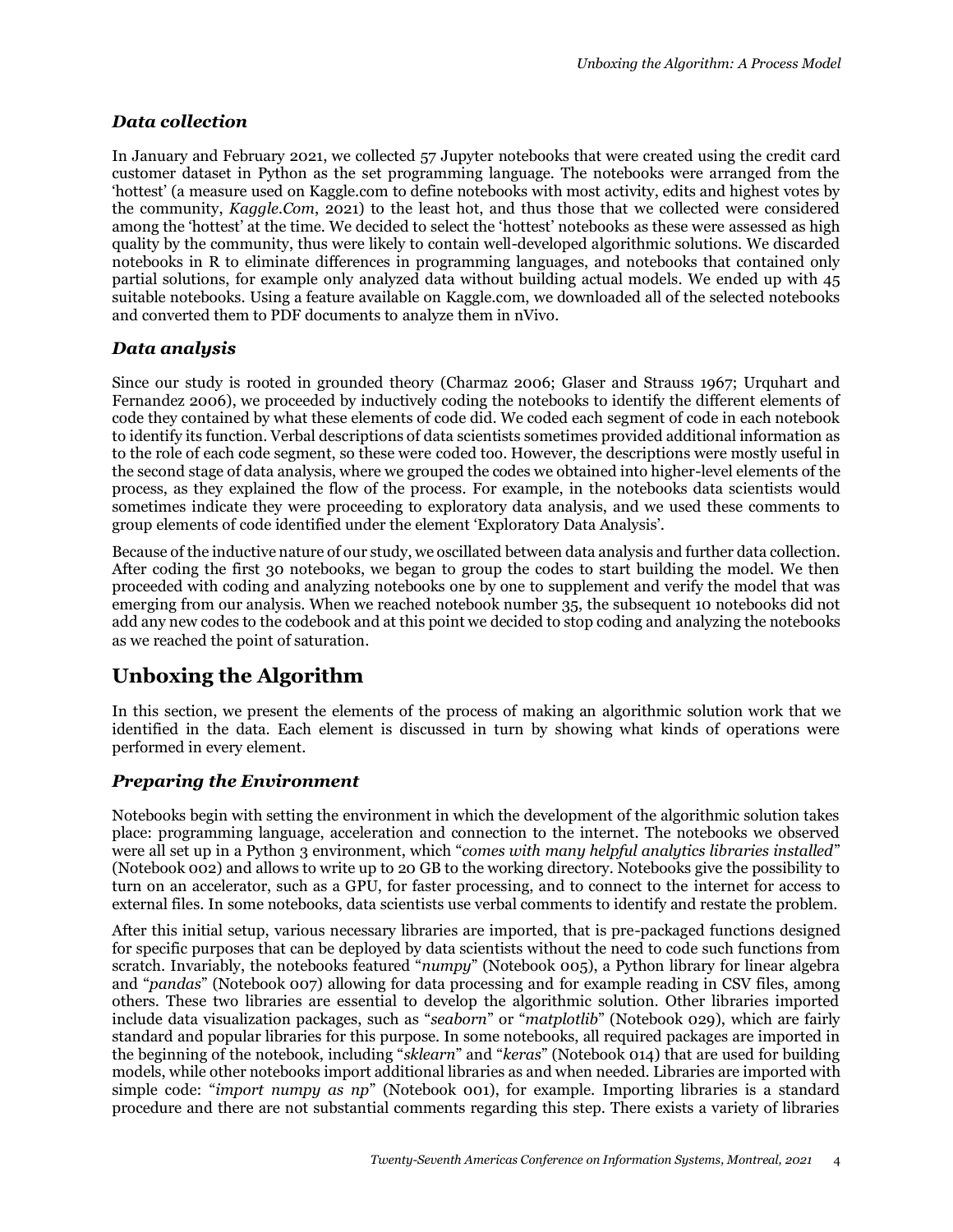### *Data collection*

In January and February 2021, we collected 57 Jupyter notebooks that were created using the credit card customer dataset in Python as the set programming language. The notebooks were arranged from the 'hottest' (a measure used on Kaggle.com to define notebooks with most activity, edits and highest votes by the community, *Kaggle.Com*, 2021) to the least hot, and thus those that we collected were considered among the 'hottest' at the time. We decided to select the 'hottest' notebooks as these were assessed as high quality by the community, thus were likely to contain well-developed algorithmic solutions. We discarded notebooks in R to eliminate differences in programming languages, and notebooks that contained only partial solutions, for example only analyzed data without building actual models. We ended up with 45 suitable notebooks. Using a feature available on Kaggle.com, we downloaded all of the selected notebooks and converted them to PDF documents to analyze them in nVivo.

#### *Data analysis*

Since our study is rooted in grounded theory (Charmaz 2006; Glaser and Strauss 1967; Urquhart and Fernandez 2006), we proceeded by inductively coding the notebooks to identify the different elements of code they contained by what these elements of code did. We coded each segment of code in each notebook to identify its function. Verbal descriptions of data scientists sometimes provided additional information as to the role of each code segment, so these were coded too. However, the descriptions were mostly useful in the second stage of data analysis, where we grouped the codes we obtained into higher-level elements of the process, as they explained the flow of the process. For example, in the notebooks data scientists would sometimes indicate they were proceeding to exploratory data analysis, and we used these comments to group elements of code identified under the element 'Exploratory Data Analysis'.

Because of the inductive nature of our study, we oscillated between data analysis and further data collection. After coding the first 30 notebooks, we began to group the codes to start building the model. We then proceeded with coding and analyzing notebooks one by one to supplement and verify the model that was emerging from our analysis. When we reached notebook number 35, the subsequent 10 notebooks did not add any new codes to the codebook and at this point we decided to stop coding and analyzing the notebooks as we reached the point of saturation.

## **Unboxing the Algorithm**

In this section, we present the elements of the process of making an algorithmic solution work that we identified in the data. Each element is discussed in turn by showing what kinds of operations were performed in every element.

## *Preparing the Environment*

Notebooks begin with setting the environment in which the development of the algorithmic solution takes place: programming language, acceleration and connection to the internet. The notebooks we observed were all set up in a Python 3 environment, which "*comes with many helpful analytics libraries installed*" (Notebook 002) and allows to write up to 20 GB to the working directory. Notebooks give the possibility to turn on an accelerator, such as a GPU, for faster processing, and to connect to the internet for access to external files. In some notebooks, data scientists use verbal comments to identify and restate the problem.

After this initial setup, various necessary libraries are imported, that is pre-packaged functions designed for specific purposes that can be deployed by data scientists without the need to code such functions from scratch. Invariably, the notebooks featured "*numpy*" (Notebook 005), a Python library for linear algebra and "*pandas*" (Notebook 007) allowing for data processing and for example reading in CSV files, among others. These two libraries are essential to develop the algorithmic solution. Other libraries imported include data visualization packages, such as "*seaborn*" or "*matplotlib*" (Notebook 029), which are fairly standard and popular libraries for this purpose. In some notebooks, all required packages are imported in the beginning of the notebook, including "*sklearn*" and "*keras*" (Notebook 014) that are used for building models, while other notebooks import additional libraries as and when needed. Libraries are imported with simple code: "*import numpy as np*" (Notebook 001), for example. Importing libraries is a standard procedure and there are not substantial comments regarding this step. There exists a variety of libraries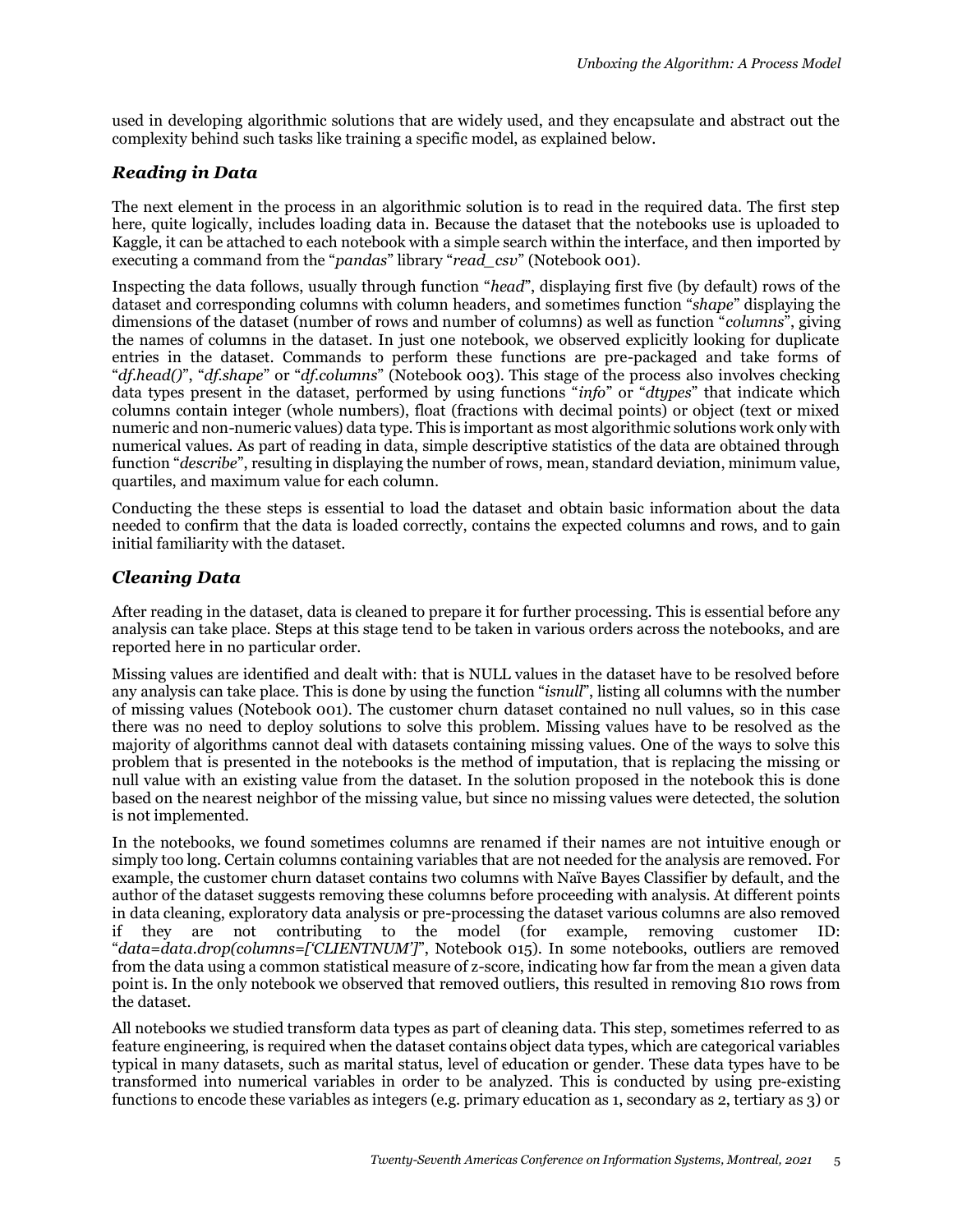used in developing algorithmic solutions that are widely used, and they encapsulate and abstract out the complexity behind such tasks like training a specific model, as explained below.

#### *Reading in Data*

The next element in the process in an algorithmic solution is to read in the required data. The first step here, quite logically, includes loading data in. Because the dataset that the notebooks use is uploaded to Kaggle, it can be attached to each notebook with a simple search within the interface, and then imported by executing a command from the "*pandas*" library "*read\_csv*" (Notebook 001).

Inspecting the data follows, usually through function "*head*", displaying first five (by default) rows of the dataset and corresponding columns with column headers, and sometimes function "*shape*" displaying the dimensions of the dataset (number of rows and number of columns) as well as function "*columns*", giving the names of columns in the dataset. In just one notebook, we observed explicitly looking for duplicate entries in the dataset. Commands to perform these functions are pre-packaged and take forms of "*df.head()*", "*df.shape*" or "*df.columns*" (Notebook 003). This stage of the process also involves checking data types present in the dataset, performed by using functions "*info*" or "*dtypes*" that indicate which columns contain integer (whole numbers), float (fractions with decimal points) or object (text or mixed numeric and non-numeric values) data type. This is important as most algorithmic solutions work only with numerical values. As part of reading in data, simple descriptive statistics of the data are obtained through function "*describe*", resulting in displaying the number of rows, mean, standard deviation, minimum value, quartiles, and maximum value for each column.

Conducting the these steps is essential to load the dataset and obtain basic information about the data needed to confirm that the data is loaded correctly, contains the expected columns and rows, and to gain initial familiarity with the dataset.

#### *Cleaning Data*

After reading in the dataset, data is cleaned to prepare it for further processing. This is essential before any analysis can take place. Steps at this stage tend to be taken in various orders across the notebooks, and are reported here in no particular order.

Missing values are identified and dealt with: that is NULL values in the dataset have to be resolved before any analysis can take place. This is done by using the function "*isnull*", listing all columns with the number of missing values (Notebook 001). The customer churn dataset contained no null values, so in this case there was no need to deploy solutions to solve this problem. Missing values have to be resolved as the majority of algorithms cannot deal with datasets containing missing values. One of the ways to solve this problem that is presented in the notebooks is the method of imputation, that is replacing the missing or null value with an existing value from the dataset. In the solution proposed in the notebook this is done based on the nearest neighbor of the missing value, but since no missing values were detected, the solution is not implemented.

In the notebooks, we found sometimes columns are renamed if their names are not intuitive enough or simply too long. Certain columns containing variables that are not needed for the analysis are removed. For example, the customer churn dataset contains two columns with Naïve Bayes Classifier by default, and the author of the dataset suggests removing these columns before proceeding with analysis. At different points in data cleaning, exploratory data analysis or pre-processing the dataset various columns are also removed if they are not contributing to the model (for example, removing customer ID: "*data=data.drop(columns=['CLIENTNUM']*", Notebook 015). In some notebooks, outliers are removed from the data using a common statistical measure of z-score, indicating how far from the mean a given data point is. In the only notebook we observed that removed outliers, this resulted in removing 810 rows from the dataset.

All notebooks we studied transform data types as part of cleaning data. This step, sometimes referred to as feature engineering, is required when the dataset contains object data types, which are categorical variables typical in many datasets, such as marital status, level of education or gender. These data types have to be transformed into numerical variables in order to be analyzed. This is conducted by using pre-existing functions to encode these variables as integers (e.g. primary education as 1, secondary as 2, tertiary as 3) or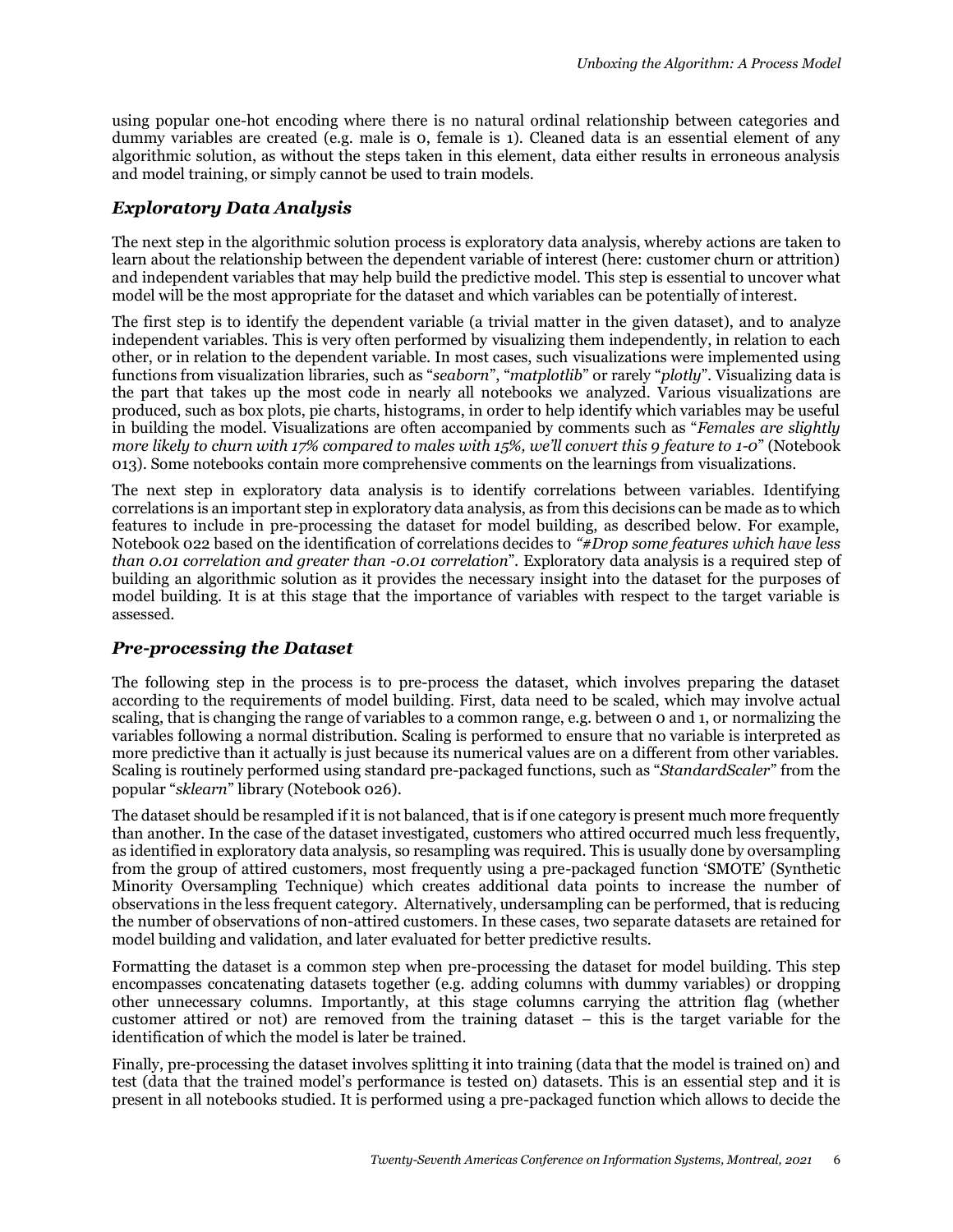using popular one-hot encoding where there is no natural ordinal relationship between categories and dummy variables are created (e.g. male is 0, female is 1). Cleaned data is an essential element of any algorithmic solution, as without the steps taken in this element, data either results in erroneous analysis and model training, or simply cannot be used to train models.

### *Exploratory Data Analysis*

The next step in the algorithmic solution process is exploratory data analysis, whereby actions are taken to learn about the relationship between the dependent variable of interest (here: customer churn or attrition) and independent variables that may help build the predictive model. This step is essential to uncover what model will be the most appropriate for the dataset and which variables can be potentially of interest.

The first step is to identify the dependent variable (a trivial matter in the given dataset), and to analyze independent variables. This is very often performed by visualizing them independently, in relation to each other, or in relation to the dependent variable. In most cases, such visualizations were implemented using functions from visualization libraries, such as "*seaborn*", "*matplotlib*" or rarely "*plotly*". Visualizing data is the part that takes up the most code in nearly all notebooks we analyzed. Various visualizations are produced, such as box plots, pie charts, histograms, in order to help identify which variables may be useful in building the model. Visualizations are often accompanied by comments such as "*Females are slightly more likely to churn with 17% compared to males with 15%, we'll convert this 9 feature to 1-0"* (Notebook 013). Some notebooks contain more comprehensive comments on the learnings from visualizations.

The next step in exploratory data analysis is to identify correlations between variables. Identifying correlations is an important step in exploratory data analysis, as from this decisions can be made as to which features to include in pre-processing the dataset for model building, as described below. For example, Notebook 022 based on the identification of correlations decides to *"#Drop some features which have less than 0.01 correlation and greater than -0.01 correlation*". Exploratory data analysis is a required step of building an algorithmic solution as it provides the necessary insight into the dataset for the purposes of model building. It is at this stage that the importance of variables with respect to the target variable is assessed.

#### *Pre-processing the Dataset*

The following step in the process is to pre-process the dataset, which involves preparing the dataset according to the requirements of model building. First, data need to be scaled, which may involve actual scaling, that is changing the range of variables to a common range, e.g. between 0 and 1, or normalizing the variables following a normal distribution. Scaling is performed to ensure that no variable is interpreted as more predictive than it actually is just because its numerical values are on a different from other variables. Scaling is routinely performed using standard pre-packaged functions, such as "*StandardScaler*" from the popular "*sklearn*" library (Notebook 026).

The dataset should be resampled if it is not balanced, that is if one category is present much more frequently than another. In the case of the dataset investigated, customers who attired occurred much less frequently, as identified in exploratory data analysis, so resampling was required. This is usually done by oversampling from the group of attired customers, most frequently using a pre-packaged function 'SMOTE' (Synthetic Minority Oversampling Technique) which creates additional data points to increase the number of observations in the less frequent category. Alternatively, undersampling can be performed, that is reducing the number of observations of non-attired customers. In these cases, two separate datasets are retained for model building and validation, and later evaluated for better predictive results.

Formatting the dataset is a common step when pre-processing the dataset for model building. This step encompasses concatenating datasets together (e.g. adding columns with dummy variables) or dropping other unnecessary columns. Importantly, at this stage columns carrying the attrition flag (whether customer attired or not) are removed from the training dataset – this is the target variable for the identification of which the model is later be trained.

Finally, pre-processing the dataset involves splitting it into training (data that the model is trained on) and test (data that the trained model's performance is tested on) datasets. This is an essential step and it is present in all notebooks studied. It is performed using a pre-packaged function which allows to decide the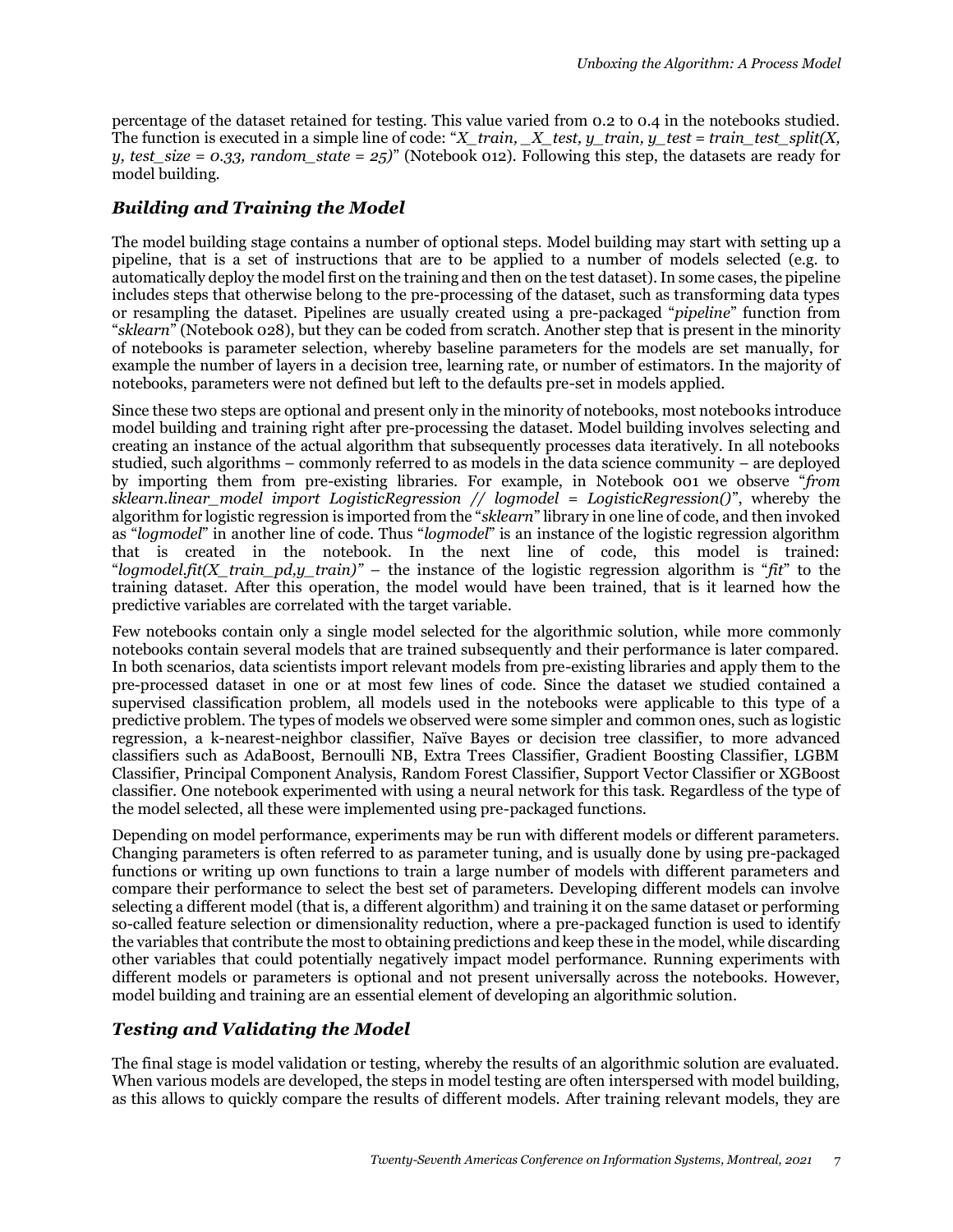percentage of the dataset retained for testing. This value varied from 0.2 to 0.4 in the notebooks studied. The function is executed in a simple line of code: "*X\_train, \_X\_test, y\_train, y\_test = train\_test\_split(X, \mepsilit(X, \mepsilition*)) *y, test*  $size = 0.33$ , random  $state = 25$ " (Notebook 012). Following this step, the datasets are ready for model building.

## *Building and Training the Model*

The model building stage contains a number of optional steps. Model building may start with setting up a pipeline, that is a set of instructions that are to be applied to a number of models selected (e.g. to automatically deploy the model first on the training and then on the test dataset). In some cases, the pipeline includes steps that otherwise belong to the pre-processing of the dataset, such as transforming data types or resampling the dataset. Pipelines are usually created using a pre-packaged "*pipeline*" function from "*sklearn*" (Notebook 028), but they can be coded from scratch. Another step that is present in the minority of notebooks is parameter selection, whereby baseline parameters for the models are set manually, for example the number of layers in a decision tree, learning rate, or number of estimators. In the majority of notebooks, parameters were not defined but left to the defaults pre-set in models applied.

Since these two steps are optional and present only in the minority of notebooks, most notebooks introduce model building and training right after pre-processing the dataset. Model building involves selecting and creating an instance of the actual algorithm that subsequently processes data iteratively. In all notebooks studied, such algorithms – commonly referred to as models in the data science community – are deployed by importing them from pre-existing libraries. For example, in Notebook 001 we observe "*from sklearn.linear\_model import LogisticRegression // logmodel = LogisticRegression()*", whereby the algorithm for logistic regression is imported from the "*sklearn*" library in one line of code, and then invoked as "*logmodel*" in another line of code. Thus "*logmodel*" is an instance of the logistic regression algorithm that is created in the notebook. In the next line of code, this model is trained: "*logmodel.fit(X\_train\_pd,y\_train)"* – the instance of the logistic regression algorithm is "*fit*" to the training dataset. After this operation, the model would have been trained, that is it learned how the predictive variables are correlated with the target variable.

Few notebooks contain only a single model selected for the algorithmic solution, while more commonly notebooks contain several models that are trained subsequently and their performance is later compared. In both scenarios, data scientists import relevant models from pre-existing libraries and apply them to the pre-processed dataset in one or at most few lines of code. Since the dataset we studied contained a supervised classification problem, all models used in the notebooks were applicable to this type of a predictive problem. The types of models we observed were some simpler and common ones, such as logistic regression, a k-nearest-neighbor classifier, Naïve Bayes or decision tree classifier, to more advanced classifiers such as AdaBoost, Bernoulli NB, Extra Trees Classifier, Gradient Boosting Classifier, LGBM Classifier, Principal Component Analysis, Random Forest Classifier, Support Vector Classifier or XGBoost classifier. One notebook experimented with using a neural network for this task. Regardless of the type of the model selected, all these were implemented using pre-packaged functions.

Depending on model performance, experiments may be run with different models or different parameters. Changing parameters is often referred to as parameter tuning, and is usually done by using pre-packaged functions or writing up own functions to train a large number of models with different parameters and compare their performance to select the best set of parameters. Developing different models can involve selecting a different model (that is, a different algorithm) and training it on the same dataset or performing so-called feature selection or dimensionality reduction, where a pre-packaged function is used to identify the variables that contribute the most to obtaining predictions and keep these in the model, while discarding other variables that could potentially negatively impact model performance. Running experiments with different models or parameters is optional and not present universally across the notebooks. However, model building and training are an essential element of developing an algorithmic solution.

## *Testing and Validating the Model*

The final stage is model validation or testing, whereby the results of an algorithmic solution are evaluated. When various models are developed, the steps in model testing are often interspersed with model building, as this allows to quickly compare the results of different models. After training relevant models, they are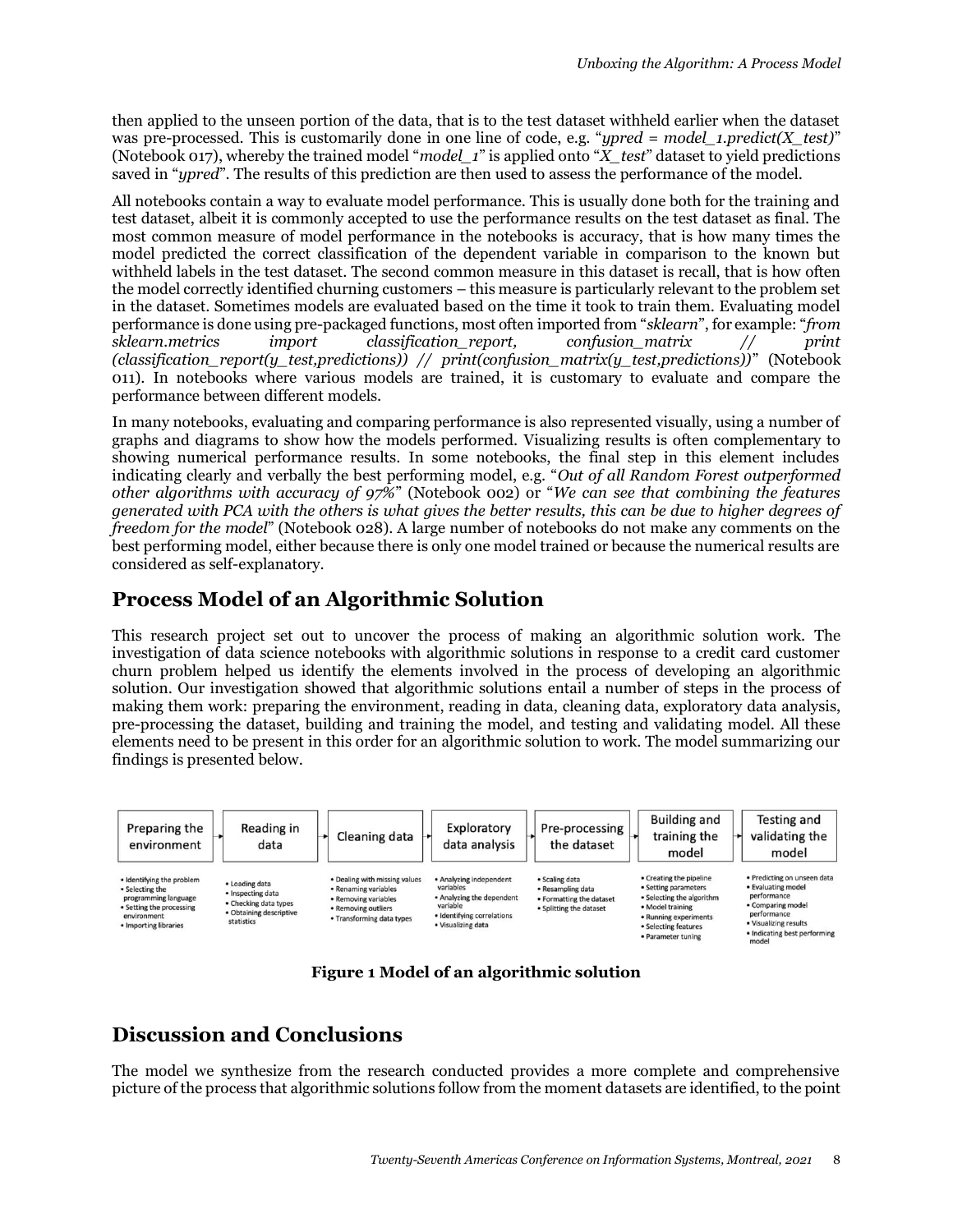then applied to the unseen portion of the data, that is to the test dataset withheld earlier when the dataset was pre-processed. This is customarily done in one line of code, e.g. "*ypred = model\_1.predict(X\_test)*" (Notebook 017), whereby the trained model "*model\_1*" is applied onto "*X\_test*" dataset to yield predictions saved in "*ypred*". The results of this prediction are then used to assess the performance of the model.

All notebooks contain a way to evaluate model performance. This is usually done both for the training and test dataset, albeit it is commonly accepted to use the performance results on the test dataset as final. The most common measure of model performance in the notebooks is accuracy, that is how many times the model predicted the correct classification of the dependent variable in comparison to the known but withheld labels in the test dataset. The second common measure in this dataset is recall, that is how often the model correctly identified churning customers – this measure is particularly relevant to the problem set in the dataset. Sometimes models are evaluated based on the time it took to train them. Evaluating model performance is done using pre-packaged functions, most often imported from "*sklearn*", for example: "*from sklearn.metrics import classification\_report, confusion\_matrix // print (classification\_report(y\_test,predictions)) // print(confusion\_matrix(y\_test,predictions))*" (Notebook 011). In notebooks where various models are trained, it is customary to evaluate and compare the performance between different models.

In many notebooks, evaluating and comparing performance is also represented visually, using a number of graphs and diagrams to show how the models performed. Visualizing results is often complementary to showing numerical performance results. In some notebooks, the final step in this element includes indicating clearly and verbally the best performing model, e.g. "*Out of all Random Forest outperformed other algorithms with accuracy of 97%*" (Notebook 002) or "*We can see that combining the features generated with PCA with the others is what gives the better results, this can be due to higher degrees of freedom for the model*" (Notebook 028). A large number of notebooks do not make any comments on the best performing model, either because there is only one model trained or because the numerical results are considered as self-explanatory.

## **Process Model of an Algorithmic Solution**

This research project set out to uncover the process of making an algorithmic solution work. The investigation of data science notebooks with algorithmic solutions in response to a credit card customer churn problem helped us identify the elements involved in the process of developing an algorithmic solution. Our investigation showed that algorithmic solutions entail a number of steps in the process of making them work: preparing the environment, reading in data, cleaning data, exploratory data analysis, pre-processing the dataset, building and training the model, and testing and validating model. All these elements need to be present in this order for an algorithmic solution to work. The model summarizing our findings is presented below.



**Figure 1 Model of an algorithmic solution**

## **Discussion and Conclusions**

The model we synthesize from the research conducted provides a more complete and comprehensive picture of the process that algorithmic solutions follow from the moment datasets are identified, to the point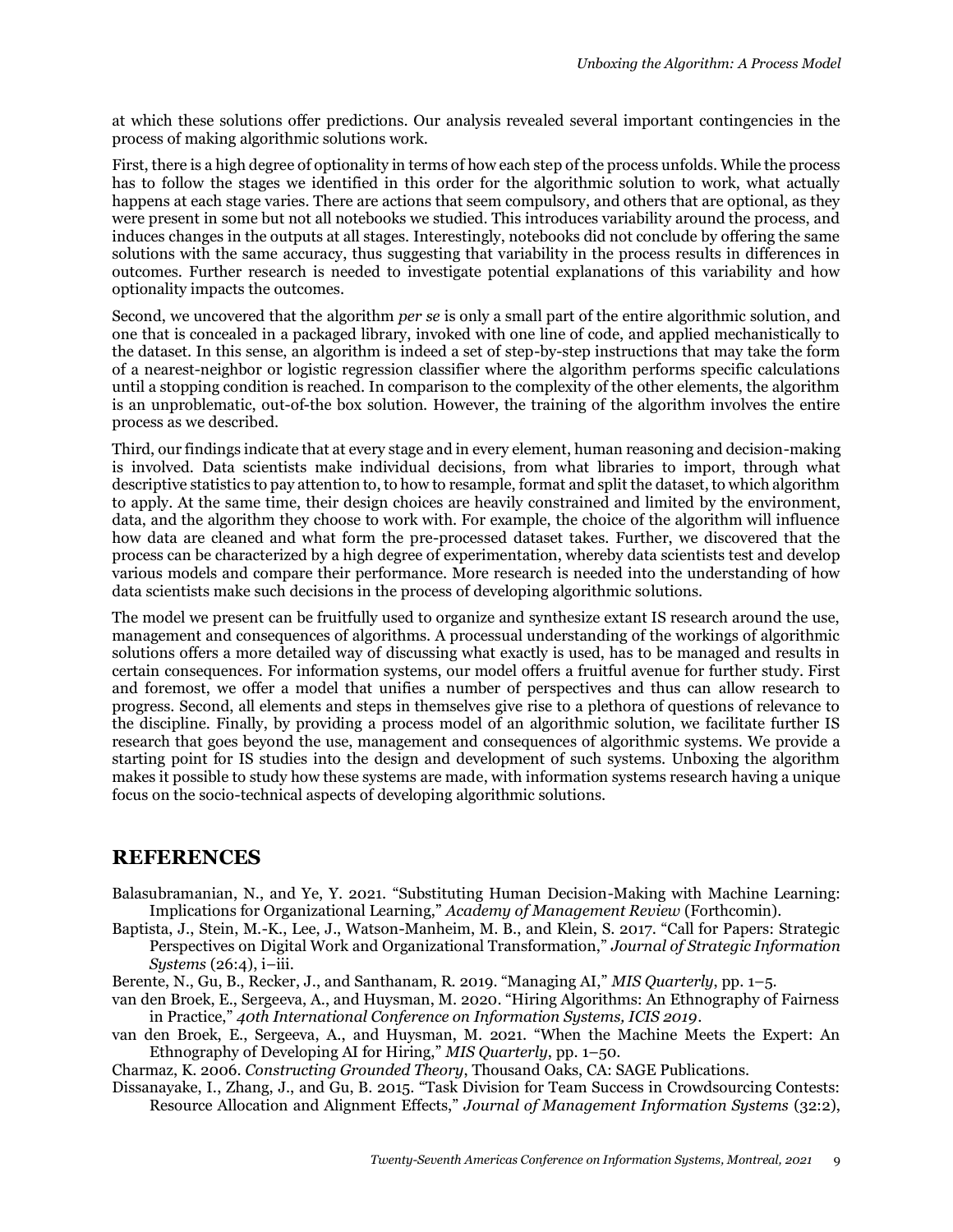at which these solutions offer predictions. Our analysis revealed several important contingencies in the process of making algorithmic solutions work.

First, there is a high degree of optionality in terms of how each step of the process unfolds. While the process has to follow the stages we identified in this order for the algorithmic solution to work, what actually happens at each stage varies. There are actions that seem compulsory, and others that are optional, as they were present in some but not all notebooks we studied. This introduces variability around the process, and induces changes in the outputs at all stages. Interestingly, notebooks did not conclude by offering the same solutions with the same accuracy, thus suggesting that variability in the process results in differences in outcomes. Further research is needed to investigate potential explanations of this variability and how optionality impacts the outcomes.

Second, we uncovered that the algorithm *per se* is only a small part of the entire algorithmic solution, and one that is concealed in a packaged library, invoked with one line of code, and applied mechanistically to the dataset. In this sense, an algorithm is indeed a set of step-by-step instructions that may take the form of a nearest-neighbor or logistic regression classifier where the algorithm performs specific calculations until a stopping condition is reached. In comparison to the complexity of the other elements, the algorithm is an unproblematic, out-of-the box solution. However, the training of the algorithm involves the entire process as we described.

Third, our findings indicate that at every stage and in every element, human reasoning and decision-making is involved. Data scientists make individual decisions, from what libraries to import, through what descriptive statistics to pay attention to, to how to resample, format and split the dataset, to which algorithm to apply. At the same time, their design choices are heavily constrained and limited by the environment, data, and the algorithm they choose to work with. For example, the choice of the algorithm will influence how data are cleaned and what form the pre-processed dataset takes. Further, we discovered that the process can be characterized by a high degree of experimentation, whereby data scientists test and develop various models and compare their performance. More research is needed into the understanding of how data scientists make such decisions in the process of developing algorithmic solutions.

The model we present can be fruitfully used to organize and synthesize extant IS research around the use, management and consequences of algorithms. A processual understanding of the workings of algorithmic solutions offers a more detailed way of discussing what exactly is used, has to be managed and results in certain consequences. For information systems, our model offers a fruitful avenue for further study. First and foremost, we offer a model that unifies a number of perspectives and thus can allow research to progress. Second, all elements and steps in themselves give rise to a plethora of questions of relevance to the discipline. Finally, by providing a process model of an algorithmic solution, we facilitate further IS research that goes beyond the use, management and consequences of algorithmic systems. We provide a starting point for IS studies into the design and development of such systems. Unboxing the algorithm makes it possible to study how these systems are made, with information systems research having a unique focus on the socio-technical aspects of developing algorithmic solutions.

## **REFERENCES**

- Balasubramanian, N., and Ye, Y. 2021. "Substituting Human Decision-Making with Machine Learning: Implications for Organizational Learning," *Academy of Management Review* (Forthcomin).
- Baptista, J., Stein, M.-K., Lee, J., Watson-Manheim, M. B., and Klein, S. 2017. "Call for Papers: Strategic Perspectives on Digital Work and Organizational Transformation," *Journal of Strategic Information Systems* (26:4), i–iii.
- Berente, N., Gu, B., Recker, J., and Santhanam, R. 2019. "Managing AI," *MIS Quarterly*, pp. 1–5.
- van den Broek, E., Sergeeva, A., and Huysman, M. 2020. "Hiring Algorithms: An Ethnography of Fairness in Practice," *40th International Conference on Information Systems, ICIS 2019*.
- van den Broek, E., Sergeeva, A., and Huysman, M. 2021. "When the Machine Meets the Expert: An Ethnography of Developing AI for Hiring," *MIS Quarterly*, pp. 1–50.

Charmaz, K. 2006. *Constructing Grounded Theory*, Thousand Oaks, CA: SAGE Publications.

Dissanayake, I., Zhang, J., and Gu, B. 2015. "Task Division for Team Success in Crowdsourcing Contests: Resource Allocation and Alignment Effects," *Journal of Management Information Systems* (32:2),